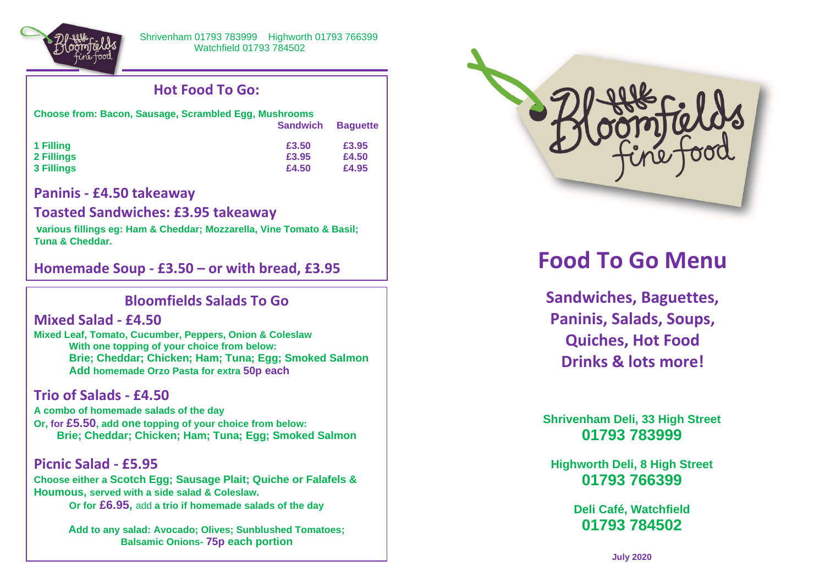

## **Hot Food To Go:**

| <b>Choose from: Bacon, Sausage, Scrambled Egg, Mushrooms</b> |                 |                 |
|--------------------------------------------------------------|-----------------|-----------------|
|                                                              | <b>Sandwich</b> | <b>Baquette</b> |
| 1 Filling                                                    | £3.50           | £3.95           |
| 2 Fillings                                                   | £3.95           | £4.50           |
| 3 Fillings                                                   | £4.50           | £4.95           |

### **Paninis - £4.50 takeaway**

#### **Toasted Sandwiches: £3.95 takeaway**

**various fillings eg: Ham & Cheddar; Mozzarella, Vine Tomato & Basil; Tuna & Cheddar.**

**Homemade Soup - £3.50 – or with bread, £3.95**

# **Bloomfields Salads To Go**

#### **Mixed Salad - £4.50**

 $\overline{a}$ 

**Mixed Leaf, Tomato, Cucumber, Peppers, Onion & Coleslaw With one topping of your choice from below: Brie; Cheddar; Chicken; Ham; Tuna; Egg; Smoked Salmon Add homemade Orzo Pasta for extra 50p each**

## **Trio of Salads - £4.50**

**A combo of homemade salads of the day Or, for £5.50, add one topping of your choice from below: Brie; Cheddar; Chicken; Ham; Tuna; Egg; Smoked Salmon**

**Picnic Salad - £5.95 Choose either a Scotch Egg; Sausage Plait; Quiche or Falafels & Houmous, served with a side salad & Coleslaw. Or for £6.95,** add **a trio if homemade salads of the day**

> **Add to any salad: Avocado; Olives; Sunblushed Tomatoes; Balsamic Onions- 75p each portion**



# **Food To Go Menu**

**Sandwiches, Baguettes, Paninis, Salads, Soups, Quiches, Hot Food Drinks & lots more!**

**Shrivenham Deli, 33 High Street 01793 783999**

**Highworth Deli, 8 High Street 01793 766399**

> **Deli Café, Watchfield 01793 784502**